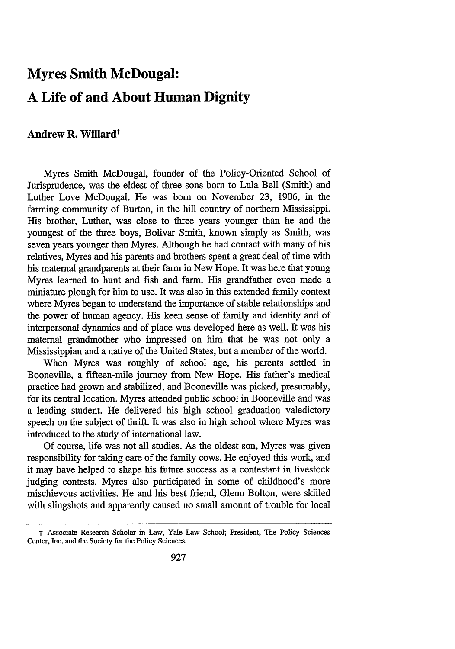## **Myres Smith McDougal: A Life of and About Human Dignity**

## Andrew R. Willard<sup>†</sup>

Myres Smith McDougal, founder of the Policy-Oriented School of Jurisprudence, was the eldest of three sons born to Lula Bell (Smith) and Luther Love McDougal. He was born on November **23, 1906,** in the farming community of Burton, in the hill country of northern Mississippi. His brother, Luther, was close to three years younger than he and the youngest of the three boys, Bolivar Smith, known simply as Smith, was seven years younger than Myres. Although he had contact with many of his relatives, Myres and his parents and brothers spent a great deal of time with his maternal grandparents at their farm in New Hope. It was here that young Myres learned to hunt and fish and farm. His grandfather even made a miniature plough for him to use. It was also in this extended family context where Myres began to understand the importance of stable relationships and the power of human agency. His keen sense of family and identity and of interpersonal dynamics and of place was developed here as well. It was his maternal grandmother who impressed on him that he was not only a Mississippian and a native of the United States, but a member of the world.

When Myres was roughly of school age, his parents settled in Booneville, a fifteen-mile journey from New Hope. His father's medical practice had grown and stabilized, and Booneville was picked, presumably, for its central location. Myres attended public school in Booneville and was a leading student. He delivered his high school graduation valedictory speech on the subject of thrift. It was also in high school where Myres was introduced to the study of international law.

**Of** course, life was not all studies. As the oldest son, Myres was given responsibility for taking care of the family cows. He enjoyed this work, and it may have helped to shape his future success as a contestant in livestock judging contests. Myres also participated in some of childhood's more mischievous activities. He and his best friend, Glenn Bolton, were skilled with slingshots and apparently caused no small amount of trouble for local

t Associate Research Scholar in Law, Yale Law School; President, The Policy Sciences Center, Inc. and the Society for the Policy Sciences.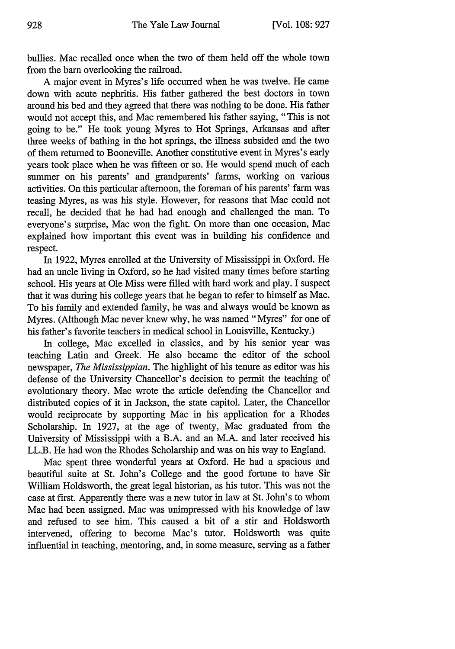bullies. Mac recalled once when the two of them held off the whole town from the barn overlooking the railroad.

A major event in Myres's life occurred when he was twelve. He came down with acute nephritis. His father gathered the best doctors in town around his bed and they agreed that there was nothing to be done. His father would not accept this, and Mac remembered his father saying, "This is not going to be." He took young Myres to Hot Springs, Arkansas and after three weeks of bathing in the hot springs, the illness subsided and the two of them returned to Booneville. Another constitutive event in Myres's early years took place when he was fifteen or so. He would spend much of each summer on his parents' and grandparents' farms, working on various activities. On this particular afternoon, the foreman of his parents' farm was teasing Myres, as was his style. However, for reasons that Mac could not recall, he decided that he had had enough and challenged the man. To everyone's surprise, Mac won the fight. On more than one occasion, Mac explained how important this event was in building his confidence and respect.

In 1922, Myres enrolled at the University of Mississippi in Oxford. He had an uncle living in Oxford, so he had visited many times before starting school. His years at Ole Miss were filled with hard work and play. I suspect that it was during his college years that he began to refer to himself as Mac. To his family and extended family, he was and always would be known as Myres. (Although Mac never knew why, he was named "Myres" for one of his father's favorite teachers in medical school in Louisville, Kentucky.)

In college, Mac excelled in classics, and by his senior year was teaching Latin and Greek. He also became the editor of the school newspaper, *The Mississippian.* The highlight of his tenure as editor was his defense of the University Chancellor's decision to permit the teaching of evolutionary theory. Mac wrote the article defending the Chancellor and distributed copies of it in Jackson, the state capitol. Later, the Chancellor would reciprocate by supporting Mac in his application for a Rhodes Scholarship. In 1927, at the age of twenty, Mac graduated from the University of Mississippi with a B.A. and an M.A. and later received his LL.B. He had won the Rhodes Scholarship and was on his way to England.

Mac spent three wonderful years at Oxford. He had a spacious and beautiful suite at St. John's College and the good fortune to have Sir William Holdsworth, the great legal historian, as his tutor. This was not the case at first. Apparently there was a new tutor in law at St. John's to whom Mac had been assigned. Mac was unimpressed with his knowledge of law and refused to see him. This caused a bit of a stir and Holdsworth intervened, offering to become Mac's tutor. Holdsworth was quite influential in teaching, mentoring, and, in some measure, serving as a father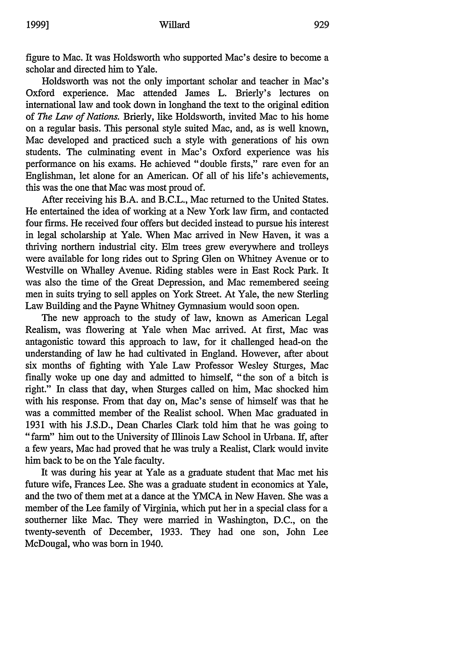figure to Mac. It was Holdsworth who supported Mac's desire to become a scholar and directed him to Yale.

Holdsworth was not the only important scholar and teacher in Mac's Oxford experience. Mac attended James L. Brierly's lectures on international law and took down in longhand the text to the original edition *of The Law of Nations.* Brierly, like Holdsworth, invited Mac to his home on a regular basis. This personal style suited Mac, and, as is well known, Mac developed and practiced such a style with generations of his own students. The culminating event in Mac's Oxford experience was his performance on his exams. He achieved "double firsts," rare even for an Englishman, let alone for an American. Of all of his life's achievements, this was the one that Mac was most proud of.

After receiving his B.A. and B.C.L., Mac returned to the United States. He entertained the idea of working at a New York law firm, and contacted four firms. He received four offers but decided instead to pursue his interest in legal scholarship at Yale. When Mac arrived in New Haven, it was a thriving northern industrial city. Elm trees grew everywhere and trolleys were available for long rides out to Spring Glen on Whitney Avenue or to Westville on Whalley Avenue. Riding stables were in East Rock Park. It was also the time of the Great Depression, and Mac remembered seeing men in suits trying to sell apples on York Street. At Yale, the new Sterling Law Building and the Payne Whitney Gymnasium would soon open.

The new approach to the study of law, known as American Legal Realism, was flowering at Yale when Mac arrived. At first, Mac was antagonistic toward this approach to law, for it challenged head-on the understanding of law he had cultivated in England. However, after about six months of fighting with Yale Law Professor Wesley Sturges, Mac finally woke up one day and admitted to himself, "the son of a bitch is right." In class that day, when Sturges called on him, Mac shocked him with his response. From that day on, Mac's sense of himself was that he was a committed member of the Realist school. When Mac graduated in 1931 with his J.S.D., Dean Charles Clark told him that he was going to "farm" him out to the University of Illinois Law School in Urbana. If, after a few years, Mac had proved that he was truly a Realist, Clark would invite him back to be on the Yale faculty.

It was during his year at Yale as a graduate student that Mac met his future wife, Frances Lee. She was a graduate student in economics at Yale, and the two of them met at a dance at the YMCA in New Haven. She was a member of the Lee family of Virginia, which put her in a special class for a southerner like Mac. They were married in Washington, D.C., on the twenty-seventh of December, 1933. They had one son, John Lee McDougal, who was born in 1940.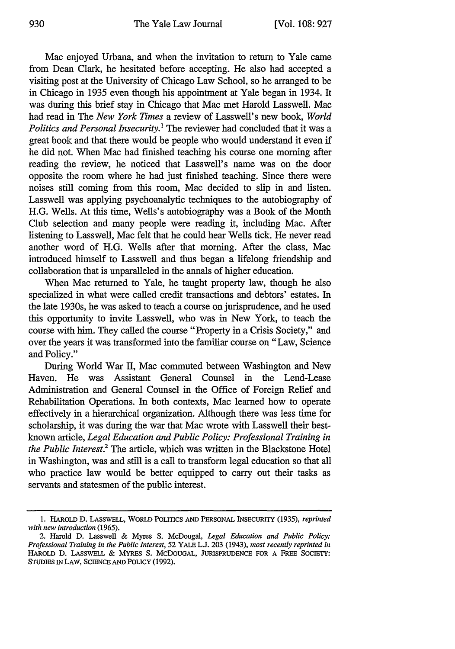Mac enjoyed Urbana, and when the invitation to return to Yale came from Dean Clark, he hesitated before accepting. He also had accepted a visiting post at the University of Chicago Law School, so he arranged to be in Chicago in 1935 even though his appointment at Yale began in 1934. It was during this brief stay in Chicago that Mac met Harold Lasswell. Mac had read in The *New York Times* a review of Lasswell's new book, *World Politics and Personal Insecurity.1* The reviewer had concluded that it was a great book and that there would be people who would understand it even if he did not. When Mac had finished teaching his course one morning after reading the review, he noticed that Lasswell's name was on the door opposite the room where he had just finished teaching. Since there were noises still coming from this room, Mac decided to slip in and listen. Lasswell was applying psychoanalytic techniques to the autobiography of H.G. Wells. At this time, Wells's autobiography was a Book of the Month Club selection and many people were reading it, including Mac. After listening to Lasswell, Mac felt that he could hear Wells tick. He never read another word of H.G. Wells after that morning. After the class, Mac introduced himself to Lasswell and thus began a lifelong friendship and collaboration that is unparalleled in the annals of higher education.

When Mac returned to Yale, he taught property law, though he also specialized in what were called credit transactions and debtors' estates. In the late 1930s, he was asked to teach a course on jurisprudence, and he used this opportunity to invite Lasswell, who was in New York, to teach the course with him. They called the course "Property in a Crisis Society," and over the years it was transformed into the familiar course on "Law, Science and Policy."

During World War II, Mac commuted between Washington and New Haven. He was Assistant General Counsel in the Lend-Lease Administration and General Counsel in the Office of Foreign Relief and Rehabilitation Operations. In both contexts, Mac learned how to operate effectively in a hierarchical organization. Although there was less time for scholarship, it was during the war that Mac wrote with Lasswell their bestknown article, *Legal Education and Public Policy: Professional Training in the Public Interest.2* The article, which was written in the Blackstone Hotel in Washington, was and still is a call to transform legal education so that all who practice law would be better equipped to carry out their tasks as servants and statesmen of the public interest.

**<sup>1.</sup>** HAROLD **D. LASSWELL,** WORLD POLITICS **AND PERSONAL INSECURITY** (1935), *reprinted with new introduction* **(1965).**

<sup>2.</sup> Harold **D.** Lasswell **&** Myres **S.** McDougal, *Legal Education and Public Policy: Professional Training in the Public Interest,* 52 YALE **L.J. 203** (1943), *most recently reprinted in* HAROLD **D. LASSWELL & MYRES S.** McDOUGAL, **JURISPRUDENCE FOR A FREE** SOCIETY: STUDIES IN LAW, **SCIENCE AND** POLICY **(1992).**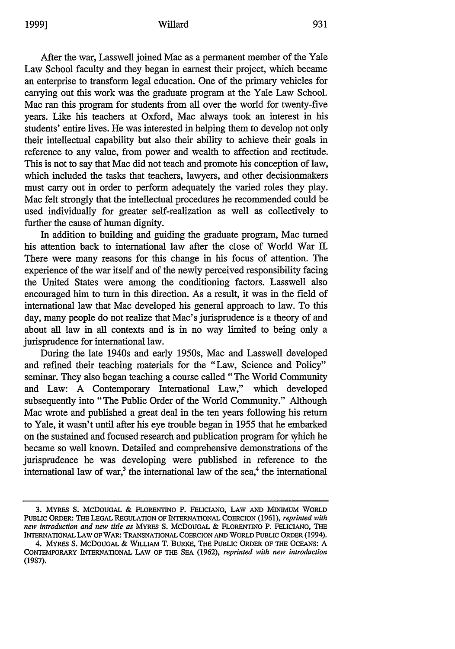## Willard

After the war, Lasswell joined Mac as a permanent member of the Yale Law School faculty and they began in earnest their project, which became an enterprise to transform legal education. One of the primary vehicles for carrying out this work was the graduate program at the Yale Law School. Mac ran this program for students from all over the world for twenty-five years. Like his teachers at Oxford, Mac always took an interest in his students' entire lives. He was interested in helping them to develop not only their intellectual capability but also their ability to achieve their goals in reference to any value, from power and wealth to affection and rectitude. This is not to say that Mac did not teach and promote his conception of law, which included the tasks that teachers, lawyers, and other decisionmakers must carry out in order to perform adequately the varied roles they play. Mac felt strongly that the intellectual procedures he recommended could be used individually for greater self-realization as well as collectively to further the cause of human dignity.

In addition to building and guiding the graduate program, Mac turned his attention back to international law after the close of World War II. There were many reasons for this change in his focus of attention. The experience of the war itself and of the newly perceived responsibility facing the United States were among the conditioning factors. Lasswell also encouraged him to turn in this direction. As a result, it was in the field of international law that Mac developed his general approach to law. To this day, many people do not realize that Mac's jurisprudence is a theory of and about all law in all contexts and is in no way limited to being only a jurisprudence for international law.

During the late 1940s and early 1950s, Mac and Lasswell developed and refined their teaching materials for the "Law, Science and Policy" seminar. They also began teaching a course called "The World Community and Law: A Contemporary International Law," which developed subsequently into "The Public Order of the World Community." Although Mac wrote and published a great deal in the ten years following his return to Yale, it wasn't until after his eye trouble began in 1955 that he embarked on the sustained and focused research and publication program for Which he became so well known. Detailed and comprehensive demonstrations of the jurisprudence he was developing were published in reference to the international law of war,<sup>3</sup> the international law of the sea,<sup>4</sup> the international

**<sup>3.</sup>** MYRES **S.** McDOUGAL & FLORENTiNO **P.** FELICIANO, **LAW AND MINIMUM** WORLD **PUBLIC** ORDER: THE **LEGAL** REGULATION OF **INTERNATIONAL COERCION (1961),** *reprinted with new introduction and new title as* MYRES **S. MCDOUGAL** & **FLORENTINO** P. FELICIANO, **THE** INTERNATIONAL **LAW** OF WAR: TRANSNATIONAL COERCION **AND** WORLD **PUBLIC** ORDER (1994). 4. MYREs S. MCDOUGAL & WILLIAM T. BURKE, **THE** PUBLIC ORDER OF THE OCEANS: **A**

CONTEMPORARY INTERNATIONAL **LAW** OF **THE SEA (1962),** *reprinted with new introduction* **(1987).**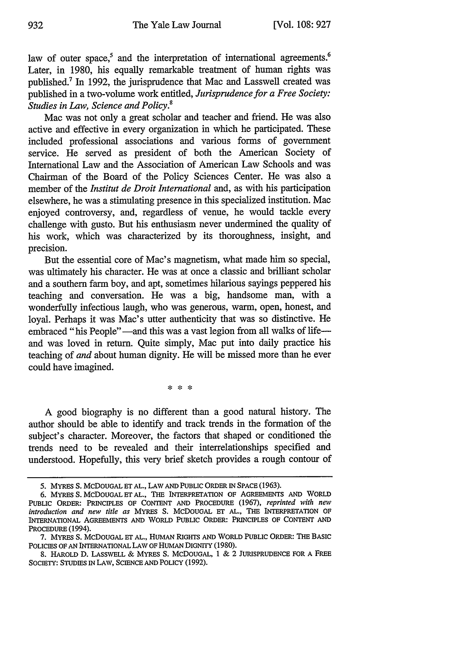law of outer space,<sup>5</sup> and the interpretation of international agreements.<sup>6</sup> Later, in 1980, his equally remarkable treatment of human rights was published.' In 1992, the jurisprudence that Mac and Lasswell created was published in a two-volume work entitled, *Jurisprudence for a Free Society: Studies in Law, Science and Policy.8*

Mac was not only a great scholar and teacher and friend. He was also active and effective in every organization in which he participated. These included professional associations and various forms of government service. He served as president of both the American Society of International Law and the Association of American Law Schools and was Chairman of the Board of the Policy Sciences Center. He was also a member of the *Institut de Droit International* and, as with his participation elsewhere, he was a stimulating presence in this specialized institution. Mac enjoyed controversy, and, regardless of venue, he would tackle every challenge with gusto. But his enthusiasm never undermined the quality of his work, which was characterized by its thoroughness, insight, and precision.

But the essential core of Mac's magnetism, what made him so special, was ultimately his character. He was at once a classic and brilliant scholar and a southern farm boy, and apt, sometimes hilarious sayings peppered his teaching and conversation. He was a big, handsome man, with a wonderfully infectious laugh, who was generous, warm, open, honest, and loyal. Perhaps it was Mac's utter authenticity that was so distinctive. He embraced "his People" - and this was a vast legion from all walks of lifeand was loved in return. Quite simply, Mac put into daily practice his teaching of *and* about human dignity. He will be missed more than he ever could have imagined.

 $* * *$ 

A good biography is no different than a good natural history. The author should be able to identify and track trends in the formation of the subject's character. Moreover, the factors that shaped or conditioned the trends need to be revealed and their interrelationships specified and understood. Hopefully, this very brief sketch provides a rough contour of

<sup>5.</sup> MYRES **S. McDOuGAL ET AL., LAW AND PUBLIC** ORDER **IN SPACE** (1963).

**<sup>6.</sup>** MYREs S. **McDOUGAL ET** AL., **THE** INTERPRETATION OF AGREEMENTS **AND** WORLD PUBLIC ORDER: PRINCIPLES OF **CONTENT AND** PROCEDURE (1967), *reprinted with new introduction and new title as* MYRES S. **MCDOUGAL ET AL.,** THE INTERPRETATION OF INTERNATIONAL **AGREEMENTS AND** WORLD PUBLIC ORDER: PRINCIPLES OF CONTENT **AND** PROCEDURE (1994).

**<sup>7.</sup>** MYREs S. MCDOUGAL **ET AL.,** HUMAN RIGHTS **AND** WORLD PUBLIC ORDER: **THE BASIC** POLICIES OF **AN** INTERNATIONAL **LAW** OF **HUMAN** DIGNITY (1980).

**<sup>8.</sup>** HAROLD D. LASSvELL & MYRES S. McDOUGAL, 1 & 2 **JURISPRUDENCE** FOR **A** FREE SOCIETY: STUDIES IN LAW, **SCIENCE AND** POLICY **(1992).**